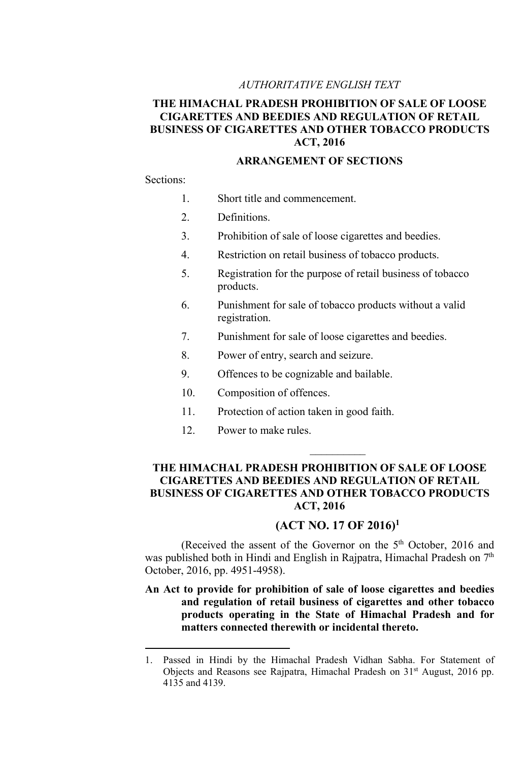#### AUTHORITATIVE ENGLISH TEXT

# THE HIMACHAL PRADESH PROHIBITION OF SALE OF LOOSE CIGARETTES AND BEEDIES AND REGULATION OF RETAIL BUSINESS OF CIGARETTES AND OTHER TOBACCO PRODUCTS ACT, 2016

### ARRANGEMENT OF SECTIONS

#### Sections:

- 1. Short title and commencement.
- 2. Definitions.
- 3. Prohibition of sale of loose cigarettes and beedies.
- 4. Restriction on retail business of tobacco products.
- 5. Registration for the purpose of retail business of tobacco products.
- 6. Punishment for sale of tobacco products without a valid registration.
- 7. Punishment for sale of loose cigarettes and beedies.
- 8. Power of entry, search and seizure.
- 9. Offences to be cognizable and bailable.
- 10. Composition of offences.
- 11. Protection of action taken in good faith.
- 12. Power to make rules.

### THE HIMACHAL PRADESH PROHIBITION OF SALE OF LOOSE CIGARETTES AND BEEDIES AND REGULATION OF RETAIL BUSINESS OF CIGARETTES AND OTHER TOBACCO PRODUCTS ACT, 2016

# (ACT NO. 17 OF 2016)<sup>1</sup>

 $\mathcal{L}_\text{max}$ 

(Received the assent of the Governor on the 5<sup>th</sup> October, 2016 and was published both in Hindi and English in Rajpatra, Himachal Pradesh on  $7<sup>th</sup>$ October, 2016, pp. 4951-4958).

## An Act to provide for prohibition of sale of loose cigarettes and beedies and regulation of retail business of cigarettes and other tobacco products operating in the State of Himachal Pradesh and for matters connected therewith or incidental thereto.

<sup>1.</sup> Passed in Hindi by the Himachal Pradesh Vidhan Sabha. For Statement of Objects and Reasons see Rajpatra, Himachal Pradesh on 31<sup>st</sup> August, 2016 pp. 4135 and 4139.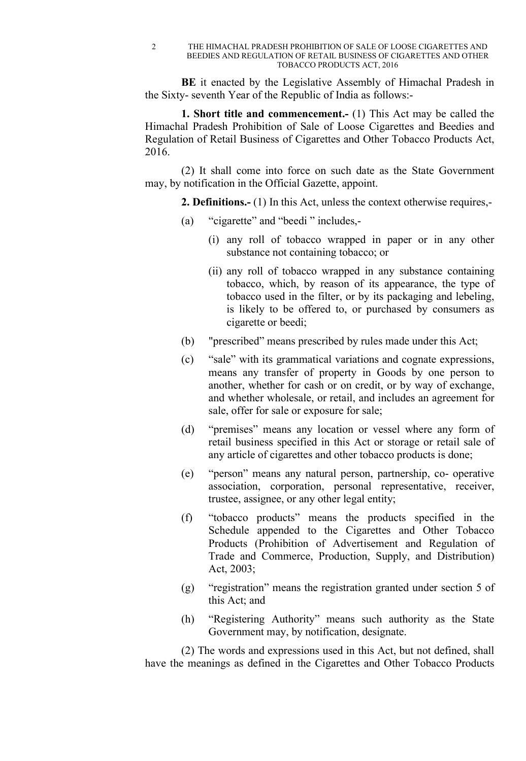2 THE HIMACHAL PRADESH PROHIBITION OF SALE OF LOOSE CIGARETTES AND BEEDIES AND REGULATION OF RETAIL BUSINESS OF CIGARETTES AND OTHER TOBACCO PRODUCTS ACT, 2016

BE it enacted by the Legislative Assembly of Himachal Pradesh in the Sixty- seventh Year of the Republic of India as follows:-

1. Short title and commencement.- (1) This Act may be called the Himachal Pradesh Prohibition of Sale of Loose Cigarettes and Beedies and Regulation of Retail Business of Cigarettes and Other Tobacco Products Act, 2016.

(2) It shall come into force on such date as the State Government may, by notification in the Official Gazette, appoint.

2. Definitions.- (1) In this Act, unless the context otherwise requires,-

- (a) "cigarette" and "beedi " includes,-
	- (i) any roll of tobacco wrapped in paper or in any other substance not containing tobacco; or
	- (ii) any roll of tobacco wrapped in any substance containing tobacco, which, by reason of its appearance, the type of tobacco used in the filter, or by its packaging and lebeling, is likely to be offered to, or purchased by consumers as cigarette or beedi;
- (b) "prescribed" means prescribed by rules made under this Act;
- (c) "sale" with its grammatical variations and cognate expressions, means any transfer of property in Goods by one person to another, whether for cash or on credit, or by way of exchange, and whether wholesale, or retail, and includes an agreement for sale, offer for sale or exposure for sale;
- (d) "premises" means any location or vessel where any form of retail business specified in this Act or storage or retail sale of any article of cigarettes and other tobacco products is done;
- (e) "person" means any natural person, partnership, co- operative association, corporation, personal representative, receiver, trustee, assignee, or any other legal entity;
- (f) "tobacco products" means the products specified in the Schedule appended to the Cigarettes and Other Tobacco Products (Prohibition of Advertisement and Regulation of Trade and Commerce, Production, Supply, and Distribution) Act, 2003;
- (g) "registration" means the registration granted under section 5 of this Act; and
- (h) "Registering Authority" means such authority as the State Government may, by notification, designate.

(2) The words and expressions used in this Act, but not defined, shall have the meanings as defined in the Cigarettes and Other Tobacco Products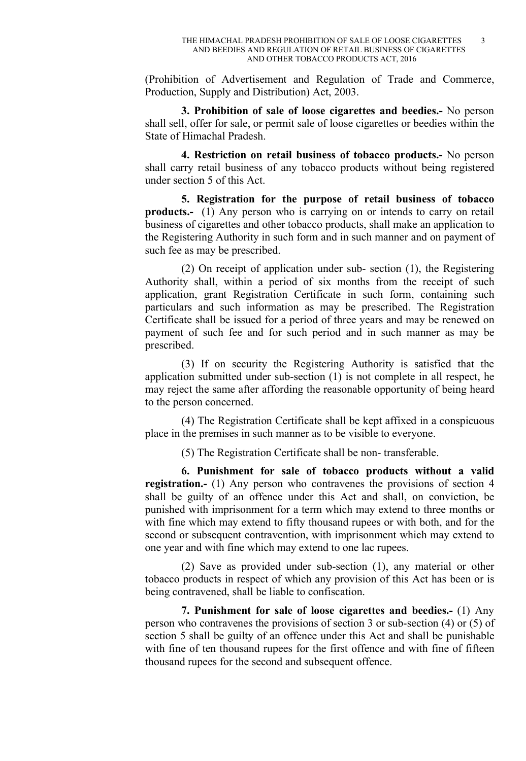(Prohibition of Advertisement and Regulation of Trade and Commerce, Production, Supply and Distribution) Act, 2003.

3. Prohibition of sale of loose cigarettes and beedies.- No person shall sell, offer for sale, or permit sale of loose cigarettes or beedies within the State of Himachal Pradesh.

4. Restriction on retail business of tobacco products.- No person shall carry retail business of any tobacco products without being registered under section 5 of this Act.

5. Registration for the purpose of retail business of tobacco products.- (1) Any person who is carrying on or intends to carry on retail business of cigarettes and other tobacco products, shall make an application to the Registering Authority in such form and in such manner and on payment of such fee as may be prescribed.

(2) On receipt of application under sub- section (1), the Registering Authority shall, within a period of six months from the receipt of such application, grant Registration Certificate in such form, containing such particulars and such information as may be prescribed. The Registration Certificate shall be issued for a period of three years and may be renewed on payment of such fee and for such period and in such manner as may be prescribed.

(3) If on security the Registering Authority is satisfied that the application submitted under sub-section (1) is not complete in all respect, he may reject the same after affording the reasonable opportunity of being heard to the person concerned.

(4) The Registration Certificate shall be kept affixed in a conspicuous place in the premises in such manner as to be visible to everyone.

(5) The Registration Certificate shall be non- transferable.

6. Punishment for sale of tobacco products without a valid registration.- (1) Any person who contravenes the provisions of section 4 shall be guilty of an offence under this Act and shall, on conviction, be punished with imprisonment for a term which may extend to three months or with fine which may extend to fifty thousand rupees or with both, and for the second or subsequent contravention, with imprisonment which may extend to one year and with fine which may extend to one lac rupees.

(2) Save as provided under sub-section (1), any material or other tobacco products in respect of which any provision of this Act has been or is being contravened, shall be liable to confiscation.

7. Punishment for sale of loose cigarettes and beedies.- (1) Any person who contravenes the provisions of section 3 or sub-section (4) or (5) of section 5 shall be guilty of an offence under this Act and shall be punishable with fine of ten thousand rupees for the first offence and with fine of fifteen thousand rupees for the second and subsequent offence.